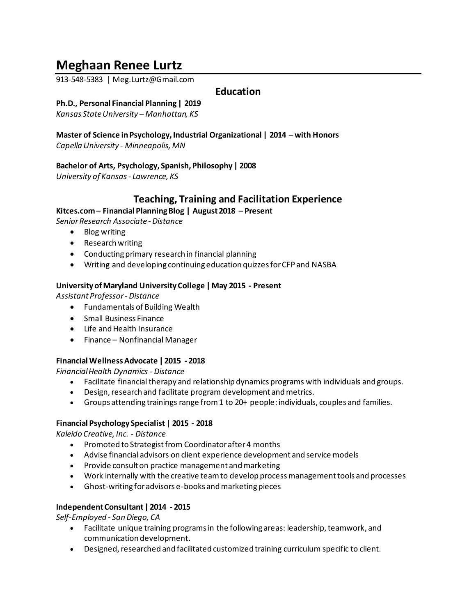# **Meghaan Renee Lurtz**

913-548-5383 | Meg.Lurtz@Gmail.com

# **Education**

# **Ph.D., Personal Financial Planning | 2019**

*Kansas State University – Manhattan, KS*

**Master of Science in Psychology, Industrial Organizational | 2014 – with Honors** *Capella University - Minneapolis, MN*

# **Bachelor of Arts, Psychology, Spanish, Philosophy | 2008**

*University of Kansas - Lawrence, KS*

# **Teaching, Training and Facilitation Experience**

**Kitces.com – Financial Planning Blog | August2018 – Present**

*Senior Research Associate - Distance*

- Blog writing
- Research writing
- Conducting primary research in financial planning
- Writing and developing continuing education quizzes for CFP and NASBA

#### **University of Maryland University College | May 2015 - Present**

*Assistant Professor - Distance*

- Fundamentals of Building Wealth
- Small Business Finance
- Life and Health Insurance
- Finance Nonfinancial Manager

# **Financial Wellness Advocate | 2015 - 2018**

*Financial Health Dynamics - Distance*

- Facilitate financial therapy and relationship dynamics programs with individuals and groups.
- Design, research and facilitate program development and metrics.
- Groups attending trainings range from 1 to 20+ people: individuals, couples and families.

#### **Financial Psychology Specialist | 2015 - 2018**

*Kaleido Creative, Inc. - Distance*

- Promoted to Strategist from Coordinator after 4 months
- Advise financial advisors on client experience development and service models
- Provide consult on practice management and marketing
- Work internally with the creative team to develop process management tools and processes
- Ghost-writing for advisors e-books and marketing pieces

# **Independent Consultant | 2014 - 2015**

*Self-Employed - San Diego, CA*

- Facilitate unique training programsin the following areas: leadership, teamwork, and communication development.
- Designed, researched and facilitated customized training curriculum specific to client.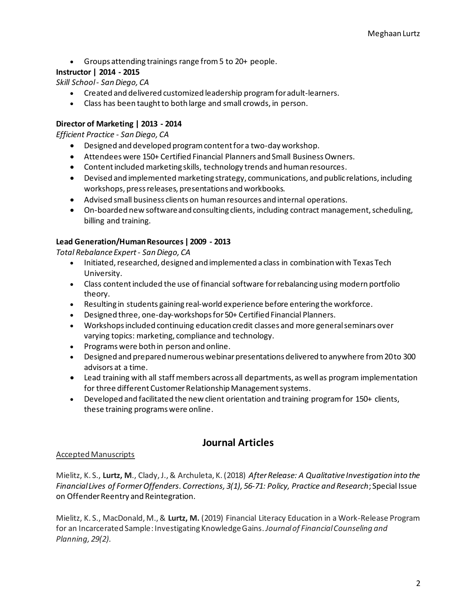• Groups attending trainings range from 5 to 20+ people.

# **Instructor | 2014 - 2015**

*Skill School - San Diego, CA*

- Created and delivered customized leadership program for adult-learners.
- Class has been taught to both large and small crowds, in person.

# **Director of Marketing | 2013 - 2014**

*Efficient Practice - San Diego, CA*

- Designed and developed program content for a two-day workshop.
- Attendees were 150+ Certified Financial Planners and Small Business Owners.
- Content included marketing skills, technology trends and human resources.
- Devised and implemented marketing strategy, communications, and public relations, including workshops, press releases, presentations and workbooks.
- Advised small business clients on human resources and internal operations.
- On-boarded new software and consulting clients, including contract management, scheduling, billing and training.

# **Lead Generation/Human Resources | 2009 - 2013**

*Total Rebalance Expert - San Diego, CA*

- Initiated, researched, designed and implemented a class in combination with Texas Tech University.
- Class content included the use of financial software for rebalancing using modern portfolio theory.
- Resulting in students gaining real-world experience before entering the workforce.
- Designed three, one-day-workshops for 50+ Certified Financial Planners.
- Workshops included continuing education credit classes and more general seminars over varying topics: marketing, compliance and technology.
- Programs were both in person and online.
- Designed and prepared numerous webinar presentations delivered to anywhere from 20 to 300 advisors at a time.
- Lead training with all staff members across all departments, as well as program implementation for three different Customer Relationship Management systems.
- Developed and facilitated the new client orientation and training program for 150+ clients, these training programs were online.

# **Journal Articles**

# Accepted Manuscripts

Mielitz, K. S., **Lurtz, M**., Clady, J., & Archuleta, K. (2018) *After Release: A Qualitative Investigation into the Financial Lives of Former Offenders. Corrections, 3(1), 56-71: Policy, Practice and Research*; Special Issue on Offender Reentry and Reintegration.

Mielitz, K. S., MacDonald, M., & **Lurtz, M.** (2019) Financial Literacy Education in a Work-Release Program for an Incarcerated Sample: Investigating Knowledge Gains.*Journal of Financial Counseling and Planning, 29(2).*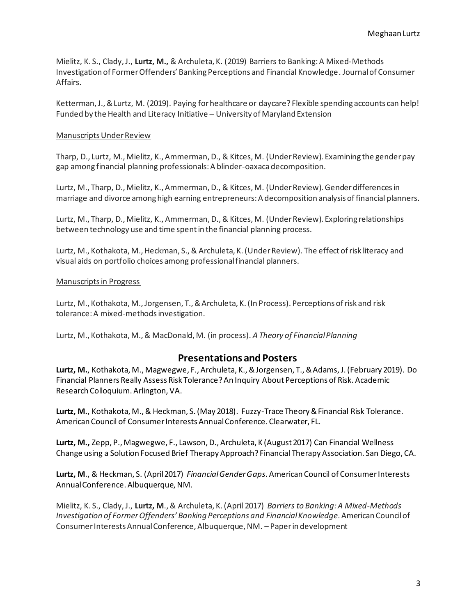Mielitz, K. S., Clady, J., **Lurtz, M.,** & Archuleta, K. (2019) Barriers to Banking: A Mixed-Methods Investigation of Former Offenders' Banking Perceptions and Financial Knowledge *.*Journal of Consumer Affairs.

Ketterman, J., & Lurtz, M. (2019). Paying for healthcare or daycare? Flexible spending accounts can help! Funded by the Health and Literacy Initiative – University of Maryland Extension

#### Manuscripts Under Review

Tharp, D., Lurtz, M., Mielitz, K., Ammerman, D., & Kitces, M. (Under Review). Examining the gender pay gap among financial planning professionals: A blinder-oaxacadecomposition.

Lurtz, M., Tharp, D., Mielitz, K., Ammerman, D., & Kitces, M. (Under Review). Gender differences in marriage and divorce among high earning entrepreneurs: A decomposition analysis of financial planners.

Lurtz, M., Tharp, D., Mielitz, K., Ammerman, D., & Kitces, M. (Under Review). Exploring relationships between technology use and time spent in the financial planning process.

Lurtz, M., Kothakota, M., Heckman, S., & Archuleta, K. (Under Review). The effect of risk literacy and visual aids on portfolio choices among professional financial planners.

#### Manuscripts in Progress

Lurtz, M., Kothakota, M., Jorgensen, T., & Archuleta, K. (In Process). Perceptions of risk and risk tolerance: A mixed-methodsinvestigation.

Lurtz, M., Kothakota, M., & MacDonald, M. (in process). *A Theory of Financial Planning*

# **Presentations and Posters**

**Lurtz, M.**, Kothakota, M., Magwegwe, F., Archuleta, K., & Jorgensen, T., & Adams, J. (February 2019). Do Financial Planners Really Assess Risk Tolerance? An Inquiry About Perceptions of Risk. Academic Research Colloquium. Arlington, VA.

**Lurtz, M.**, Kothakota, M., & Heckman, S. (May 2018). Fuzzy-Trace Theory & Financial Risk Tolerance. American Council of Consumer Interests Annual Conference. Clearwater, FL.

**Lurtz, M.,** Zepp, P., Magwegwe, F., Lawson, D., Archuleta, K (August 2017) Can Financial Wellness Change using a Solution Focused Brief Therapy Approach? Financial Therapy Association. San Diego, CA.

**Lurtz, M**., & Heckman, S. (April 2017) *Financial Gender Gaps*. American Council of Consumer Interests Annual Conference. Albuquerque, NM.

Mielitz, K. S., Clady, J., **Lurtz, M**., & Archuleta, K. (April 2017) *Barriers to Banking: A Mixed-Methods Investigation of Former Offenders' Banking Perceptions and Financial Knowledge*. American Council of Consumer Interests Annual Conference, Albuquerque, NM. – Paper in development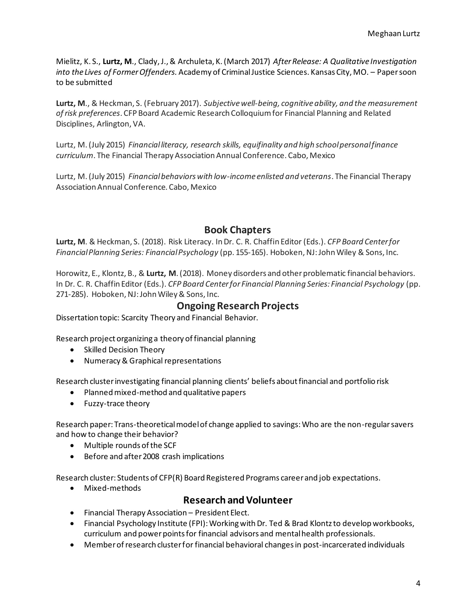Mielitz, K. S., **Lurtz, M**., Clady, J., & Archuleta, K. (March 2017) *After Release: A Qualitative Investigation into the Lives of Former Offenders.* Academy of Criminal Justice Sciences. Kansas City, MO. – Paper soon to be submitted

**Lurtz, M**., & Heckman, S. (February 2017). *Subjective well-being, cognitive ability, and the measurement of risk preferences*. CFP Board Academic Research Colloquium for Financial Planning and Related Disciplines, Arlington, VA.

Lurtz, M. (July 2015) *Financial literacy, research skills, equifinality and high school personal finance curriculum*. The Financial Therapy Association Annual Conference. Cabo, Mexico

Lurtz, M. (July 2015) *Financial behaviors with low-income enlisted and veterans*. The Financial Therapy Association Annual Conference. Cabo, Mexico

# **Book Chapters**

**Lurtz, M**. & Heckman, S. (2018). Risk Literacy. In Dr. C. R. Chaffin Editor (Eds.). *CFP Board Center for Financial Planning Series: Financial Psychology* (pp. 155-165). Hoboken, NJ: John Wiley & Sons, Inc.

Horowitz, E., Klontz, B., & **Lurtz, M**. (2018). Money disorders and other problematic financial behaviors. In Dr. C. R. Chaffin Editor (Eds.). *CFP Board Center for Financial Planning Series: Financial Psychology* (pp. 271-285). Hoboken, NJ: John Wiley & Sons, Inc.

# **Ongoing Research Projects**

Dissertation topic: Scarcity Theory and Financial Behavior.

Research project organizing a theory of financial planning

- Skilled Decision Theory
- Numeracy & Graphical representations

Research cluster investigating financial planning clients' beliefs about financial and portfolio risk

- Planned mixed-method and qualitative papers
- Fuzzy-trace theory

Research paper: Trans-theoretical model of change applied to savings: Who are the non-regular savers and how to change their behavior?

- Multiple rounds of the SCF
- Before and after 2008 crash implications

Research cluster: Students of CFP(R) Board Registered Programs career and job expectations.

• Mixed-methods

# **Research and Volunteer**

- Financial Therapy Association President Elect.
- Financial Psychology Institute (FPI): Working with Dr. Ted & Brad Klontz to develop workbooks, curriculum and power points for financial advisors and mental health professionals.
- Member of research cluster for financial behavioral changes in post-incarcerated individuals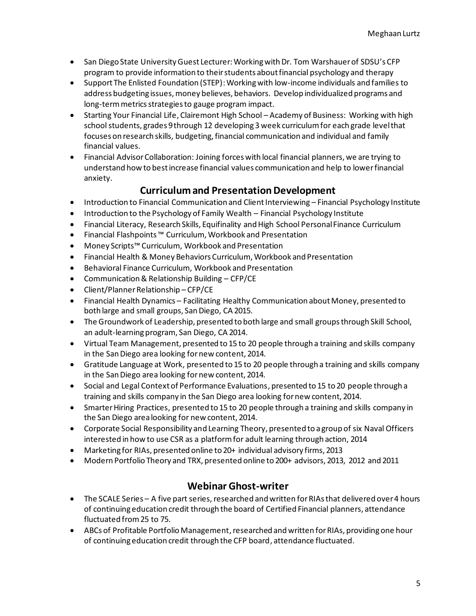- San Diego State University Guest Lecturer: Working with Dr. Tom Warshauer of SDSU's CFP program to provide information to their students about financial psychology and therapy
- Support The Enlisted Foundation (STEP):Working with low-income individuals and families to address budgeting issues, money believes, behaviors. Develop individualized programs and long-term metrics strategies to gauge program impact.
- Starting Your Financial Life, Clairemont High School Academy of Business: Working with high school students, grades 9 through 12 developing 3 week curriculum for each grade level that focuses on research skills, budgeting, financial communication and individual and family financial values.
- Financial Advisor Collaboration: Joining forces with local financial planners, we are trying to understand how to best increase financial values communication and help to lower financial anxiety.

# **Curriculum and Presentation Development**

- Introduction to Financial Communication and Client Interviewing Financial Psychology Institute
- Introduction to the Psychology of Family Wealth Financial Psychology Institute
- Financial Literacy, Research Skills, Equifinality and High School Personal Finance Curriculum
- Financial Flashpoints ™ Curriculum, Workbook and Presentation
- Money Scripts™ Curriculum, Workbook and Presentation
- Financial Health & Money Behaviors Curriculum, Workbook and Presentation
- Behavioral Finance Curriculum, Workbook and Presentation
- Communication & Relationship Building CFP/CE
- Client/Planner Relationship CFP/CE
- Financial Health Dynamics Facilitating Healthy Communication about Money, presented to both large and small groups, San Diego, CA 2015.
- The Groundwork of Leadership, presented to both large and small groups through Skill School, an adult-learning program, San Diego, CA 2014.
- Virtual Team Management, presented to 15 to 20 people through a training and skills company in the San Diego area looking for new content, 2014.
- Gratitude Language at Work, presented to 15 to 20 people through a training and skills company in the San Diego area looking for new content, 2014.
- Social and Legal Context of Performance Evaluations, presented to 15 to 20 people through a training and skills company in the San Diego area looking for new content, 2014.
- Smarter Hiring Practices, presented to 15 to 20 people through a training and skills company in the San Diego area looking for new content, 2014.
- Corporate Social Responsibility and Learning Theory, presented to a group of six Naval Officers interested in how to use CSR as a platform for adult learning through action, 2014
- Marketing for RIAs, presented online to 20+ individual advisory firms, 2013
- Modern Portfolio Theory and TRX, presented online to 200+ advisors, 2013, 2012 and 2011

# **Webinar Ghost-writer**

- The SCALE Series A five part series, researched and written for RIAs that delivered over 4 hours of continuing education credit through the board of Certified Financial planners, attendance fluctuated from 25 to 75.
- ABCs of Profitable Portfolio Management, researched and written for RIAs, providing one hour of continuing education credit through the CFP board, attendance fluctuated.